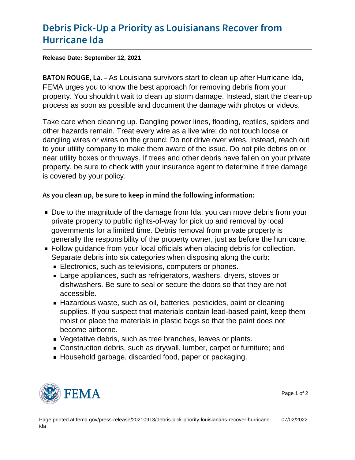## [Debris Pick-Up a Priority as Lou](https://www.fema.gov/press-release/20210913/debris-pick-priority-louisianans-recover-hurricane-ida)isianans [Hurrican](https://www.fema.gov/press-release/20210913/debris-pick-priority-louisianans-recover-hurricane-ida)e Ida

Release Date: September 12, 2021

B A T O N R O U **A.** EL pullisina survivors start to clean up after Hurricane Ida, FEMA urges you to know the best approach for removing debris from your property. You shouldn't wait to clean up storm damage. Instead, start the clean-up process as soon as possible and document the damage with photos or videos.

Take care when cleaning up. Dangling power lines, flooding, reptiles, spiders and other hazards remain. Treat every wire as a live wire; do not touch loose or dangling wires or wires on the ground. Do not drive over wires. Instead, reach out to your utility company to make them aware of the issue. Do not pile debris on or near utility boxes or thruways. If trees and other debris have fallen on your private property, be sure to check with your insurance agent to determine if tree damage is covered by your policy.

As you clean up, be sure to keep in mind the following info

- Due to the magnitude of the damage from Ida, you can move debris from your private property to public rights-of-way for pick up and removal by local governments for a limited time. Debris removal from private property is generally the responsibility of the property owner, just as before the hurricane.
- Follow guidance from your local officials when placing debris for collection. Separate debris into six categories when disposing along the curb:
	- **Electronics, such as televisions, computers or phones.**
	- **Large appliances, such as refrigerators, washers, dryers, stoves or** dishwashers. Be sure to seal or secure the doors so that they are not accessible.
	- Hazardous waste, such as oil, batteries, pesticides, paint or cleaning supplies. If you suspect that materials contain lead-based paint, keep them moist or place the materials in plastic bags so that the paint does not become airborne.
	- Vegetative debris, such as tree branches, leaves or plants.
	- Construction debris, such as drywall, lumber, carpet or furniture; and
	- Household garbage, discarded food, paper or packaging.



Page 1 of 2